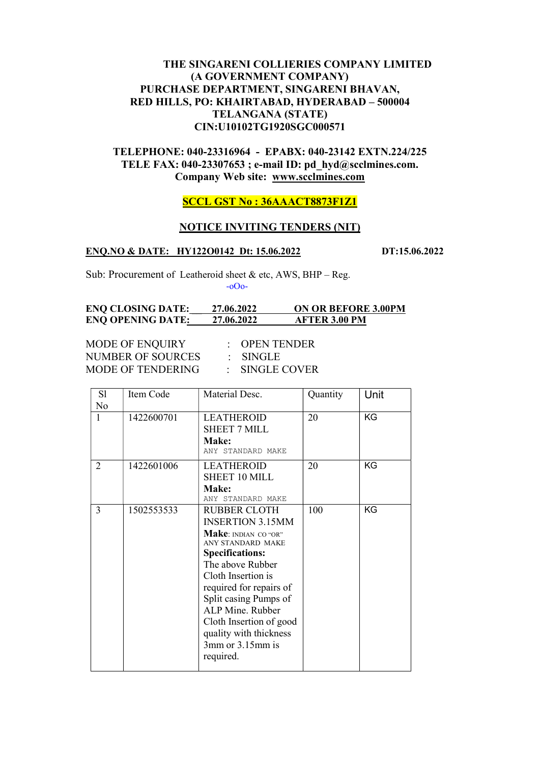# THE SINGARENI COLLIERIES COMPANY LIMITED (A GOVERNMENT COMPANY) PURCHASE DEPARTMENT, SINGARENI BHAVAN, RED HILLS, PO: KHAIRTABAD, HYDERABAD – 500004 TELANGANA (STATE) CIN:U10102TG1920SGC000571

# TELEPHONE: 040-23316964 - EPABX: 040-23142 EXTN.224/225 TELE FAX: 040-23307653 ; e-mail ID: pd\_hyd@scclmines.com. Company Web site: www.scclmines.com

## SCCL GST No : 36AAACT8873F1Z1

#### NOTICE INVITING TENDERS (NIT)

#### ENO.NO & DATE: HY122O0142 Dt: 15.06.2022 DT:15.06.2022

Sub: Procurement of Leatheroid sheet & etc, AWS, BHP – Reg. -oOo-

#### ENQ CLOSING DATE: 27.06.2022 ON OR BEFORE 3.00PM ENQ OPENING DATE: 27.06.2022 AFTER 3.00 PM

MODE OF ENQUIRY : OPEN TENDER<br>NUMBER OF SOURCES : SINGLE NUMBER OF SOURCES MODE OF TENDERING : SINGLE COVER

| S1<br>N <sub>o</sub> | Item Code  | Material Desc.                                                                                                                                                                                                                                                                                                                       | Quantity | Unit |
|----------------------|------------|--------------------------------------------------------------------------------------------------------------------------------------------------------------------------------------------------------------------------------------------------------------------------------------------------------------------------------------|----------|------|
| 1                    | 1422600701 | <b>LEATHEROID</b><br><b>SHEET 7 MILL</b><br>Make:<br>ANY STANDARD MAKE                                                                                                                                                                                                                                                               | 20       | KG   |
| 2                    | 1422601006 | <b>LEATHEROID</b><br>SHEET 10 MILL<br>Make:<br>ANY STANDARD MAKE                                                                                                                                                                                                                                                                     | 20       | KG   |
| 3                    | 1502553533 | <b>RUBBER CLOTH</b><br><b>INSERTION 3.15MM</b><br>Make: INDIAN CO "OR"<br><b>ANY STANDARD MAKE</b><br><b>Specifications:</b><br>The above Rubber<br>Cloth Insertion is<br>required for repairs of<br>Split casing Pumps of<br>ALP Mine. Rubber<br>Cloth Insertion of good<br>quality with thickness<br>3mm or 3.15mm is<br>required. | 100      | KG   |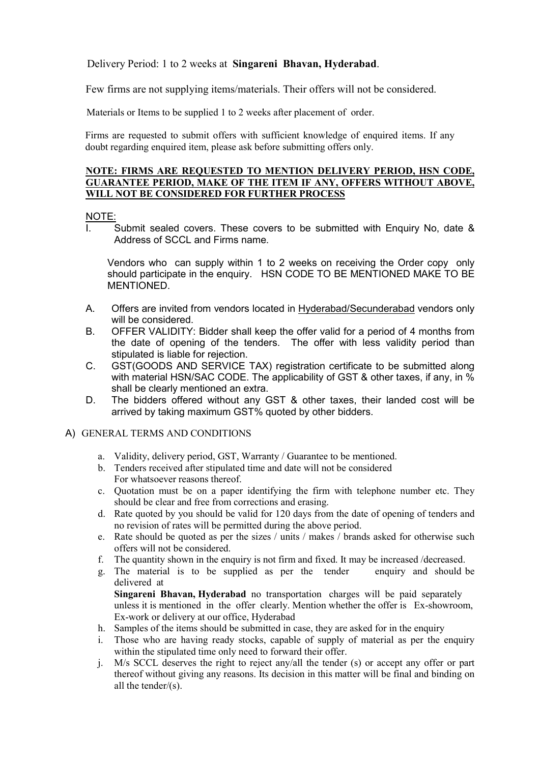Delivery Period: 1 to 2 weeks at Singareni Bhavan, Hyderabad.

Few firms are not supplying items/materials. Their offers will not be considered.

Materials or Items to be supplied 1 to 2 weeks after placement of order.

 Firms are requested to submit offers with sufficient knowledge of enquired items. If any doubt regarding enquired item, please ask before submitting offers only.

#### NOTE: FIRMS ARE REQUESTED TO MENTION DELIVERY PERIOD, HSN CODE, GUARANTEE PERIOD, MAKE OF THE ITEM IF ANY, OFFERS WITHOUT ABOVE, WILL NOT BE CONSIDERED FOR FURTHER PROCESS

#### NOTE:

I. Submit sealed covers. These covers to be submitted with Enquiry No, date & Address of SCCL and Firms name.

Vendors who can supply within 1 to 2 weeks on receiving the Order copy only should participate in the enquiry. HSN CODE TO BE MENTIONED MAKE TO BE MENTIONED.

- A. Offers are invited from vendors located in Hyderabad/Secunderabad vendors only will be considered.
- B. OFFER VALIDITY: Bidder shall keep the offer valid for a period of 4 months from the date of opening of the tenders. The offer with less validity period than stipulated is liable for rejection.
- C. GST(GOODS AND SERVICE TAX) registration certificate to be submitted along with material HSN/SAC CODE. The applicability of GST & other taxes, if any, in % shall be clearly mentioned an extra.
- D. The bidders offered without any GST & other taxes, their landed cost will be arrived by taking maximum GST% quoted by other bidders.

#### A) GENERAL TERMS AND CONDITIONS

- a. Validity, delivery period, GST, Warranty / Guarantee to be mentioned.
- b. Tenders received after stipulated time and date will not be considered For whatsoever reasons thereof.
- c. Quotation must be on a paper identifying the firm with telephone number etc. They should be clear and free from corrections and erasing.
- d. Rate quoted by you should be valid for 120 days from the date of opening of tenders and no revision of rates will be permitted during the above period.
- e. Rate should be quoted as per the sizes / units / makes / brands asked for otherwise such offers will not be considered.
- f. The quantity shown in the enquiry is not firm and fixed. It may be increased /decreased.
- g. The material is to be supplied as per the tender enquiry and should be delivered at

Singareni Bhavan, Hyderabad no transportation charges will be paid separately unless it is mentioned in the offer clearly. Mention whether the offer is Ex-showroom, Ex-work or delivery at our office, Hyderabad

- h. Samples of the items should be submitted in case, they are asked for in the enquiry
- i. Those who are having ready stocks, capable of supply of material as per the enquiry within the stipulated time only need to forward their offer.
- j. M/s SCCL deserves the right to reject any/all the tender (s) or accept any offer or part thereof without giving any reasons. Its decision in this matter will be final and binding on all the tender/(s).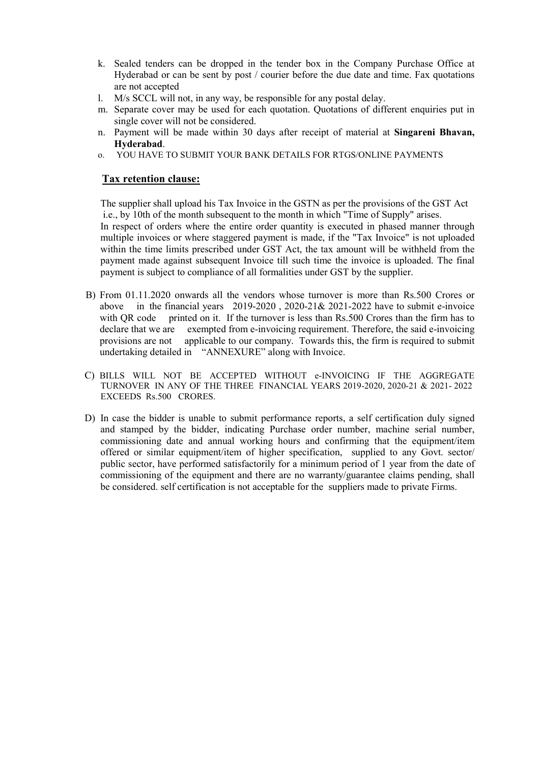- k. Sealed tenders can be dropped in the tender box in the Company Purchase Office at Hyderabad or can be sent by post / courier before the due date and time. Fax quotations are not accepted
- l. M/s SCCL will not, in any way, be responsible for any postal delay.
- m. Separate cover may be used for each quotation. Quotations of different enquiries put in single cover will not be considered.
- n. Payment will be made within 30 days after receipt of material at Singareni Bhavan, Hyderabad.
- o. YOU HAVE TO SUBMIT YOUR BANK DETAILS FOR RTGS/ONLINE PAYMENTS

### Tax retention clause:

 The supplier shall upload his Tax Invoice in the GSTN as per the provisions of the GST Act i.e., by 10th of the month subsequent to the month in which "Time of Supply" arises.

 In respect of orders where the entire order quantity is executed in phased manner through multiple invoices or where staggered payment is made, if the "Tax Invoice" is not uploaded within the time limits prescribed under GST Act, the tax amount will be withheld from the payment made against subsequent Invoice till such time the invoice is uploaded. The final payment is subject to compliance of all formalities under GST by the supplier.

- B) From 01.11.2020 onwards all the vendors whose turnover is more than Rs.500 Crores or above in the financial years 2019-2020 , 2020-21& 2021-2022 have to submit e-invoice with QR code printed on it. If the turnover is less than Rs.500 Crores than the firm has to declare that we are exempted from e-invoicing requirement. Therefore, the said e-invoicing provisions are not applicable to our company. Towards this, the firm is required to submit undertaking detailed in "ANNEXURE" along with Invoice.
- C) BILLS WILL NOT BE ACCEPTED WITHOUT e-INVOICING IF THE AGGREGATE TURNOVER IN ANY OF THE THREE FINANCIAL YEARS 2019-2020, 2020-21 & 2021- 2022 EXCEEDS Rs.500 CRORES.
- D) In case the bidder is unable to submit performance reports, a self certification duly signed and stamped by the bidder, indicating Purchase order number, machine serial number, commissioning date and annual working hours and confirming that the equipment/item offered or similar equipment/item of higher specification, supplied to any Govt. sector/ public sector, have performed satisfactorily for a minimum period of 1 year from the date of commissioning of the equipment and there are no warranty/guarantee claims pending, shall be considered. self certification is not acceptable for the suppliers made to private Firms.